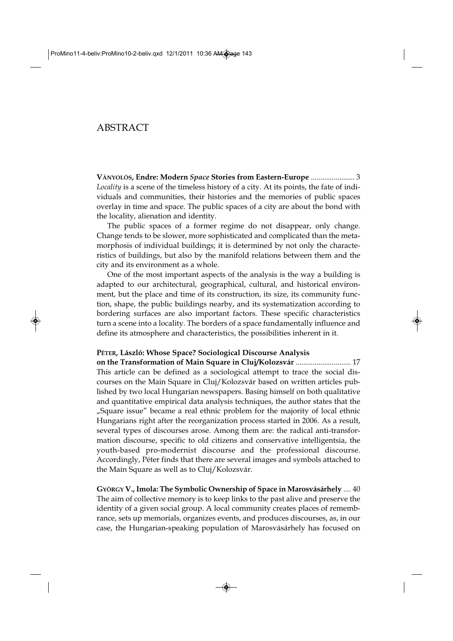# ABSTRACT

**VÁNYOLÓS, Endre: Modern** *Space* **Stories from Eastern-Europe** ....................... 3 *Locality* is a scene of the timeless history of a city. At its points, the fate of individuals and communities, their histories and the memories of public spaces overlay in time and space. The public spaces of a city are about the bond with the locality, alienation and identity.

The public spaces of a former regime do not disappear, only change. Change tends to be slower, more sophisticated and complicated than the metamorphosis of individual buildings; it is determined by not only the characteristics of buildings, but also by the manifold relations between them and the city and its environment as a whole.

One of the most important aspects of the analysis is the way a building is adapted to our architectural, geographical, cultural, and historical environment, but the place and time of its construction, its size, its community function, shape, the public buildings nearby, and its systematization according to bordering surfaces are also important factors. These specific characteristics turn a scene into a locality. The borders of a space fundamentally influence and define its atmosphere and characteristics, the possibilities inherent in it.

#### **PÉTER, László: Whose Space? Sociological Discourse Analysis**

**on the Transformation of Main Square in Cluj/Kolozsvár** ............................. 17 This article can be defined as a sociological attempt to trace the social discourses on the Main Square in Cluj/Kolozsvár based on written articles published by two local Hungarian newspapers. Basing himself on both qualitative and quantitative empirical data analysis techniques, the author states that the "Square issue" became a real ethnic problem for the majority of local ethnic Hungarians right after the reorganization process started in 2006. As a result, several types of discourses arose. Among them are: the radical anti-transformation discourse, specific to old citizens and conservative intelligentsia, the youth-based pro-modernist discourse and the professional discourse. Accordingly, Péter finds that there are several images and symbols attached to the Main Square as well as to Cluj/Kolozsvár.

**GYÖRGY V., Imola: The Symbolic Ownership of Space in Marosvásárhely** .... 40 The aim of collective memory is to keep links to the past alive and preserve the identity of a given social group. A local community creates places of remembrance, sets up memorials, organizes events, and produces discourses, as, in our case, the Hungarian-speaking population of Marosvásárhely has focused on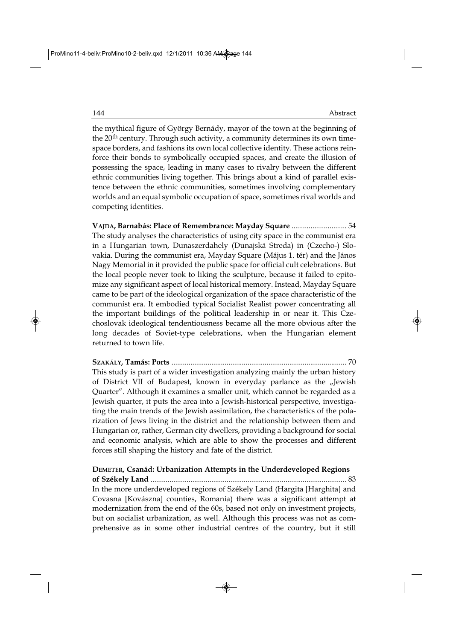the mythical figure of György Bernády, mayor of the town at the beginning of the 20<sup>th</sup> century. Through such activity, a community determines its own timespace borders, and fashions its own local collective identity. These actions reinforce their bonds to symbolically occupied spaces, and create the illusion of possessing the space, leading in many cases to rivalry between the different ethnic communities living together. This brings about a kind of parallel existence between the ethnic communities, sometimes involving complementary worlds and an equal symbolic occupation of space, sometimes rival worlds and competing identities.

**VAJDA, Barnabás: Place of Remembrance: Mayday Square** ............................. 54 The study analyses the characteristics of using city space in the communist era in a Hungarian town, Dunaszerdahely (Dunajská Streda) in (Czecho-) Slovakia. During the communist era, Mayday Square (Május 1. tér) and the János Nagy Memorial in it provided the public space for official cult celebrations. But the local people never took to liking the sculpture, because it failed to epitomize any significant aspect of local historical memory. Instead, Mayday Square came to be part of the ideological organization of the space characteristic of the communist era. It embodied typical Socialist Realist power concentrating all the important buildings of the political leadership in or near it. This Czechoslovak ideological tendentiousness became all the more obvious after the long decades of Soviet-type celebrations, when the Hungarian element returned to town life.

**SZAKÁLY, Tamás: Ports** ............................................................................................ 70 This study is part of a wider investigation analyzing mainly the urban history of District VII of Budapest, known in everyday parlance as the "Jewish Quarter". Although it examines a smaller unit, which cannot be regarded as a Jewish quarter, it puts the area into a Jewish-historical perspective, investigating the main trends of the Jewish assimilation, the characteristics of the polarization of Jews living in the district and the relationship between them and Hungarian or, rather, German city dwellers, providing a background for social and economic analysis, which are able to show the processes and different forces still shaping the history and fate of the district.

**DEMETER, Csanád: Urbanization Attempts in the Underdeveloped Regions of Székely Land** ....................................................................................................... 83 In the more underdeveloped regions of Székely Land (Hargita [Harghita] and Covasna [Kovászna] counties, Romania) there was a significant attempt at modernization from the end of the 60s, based not only on investment projects, but on socialist urbanization, as well. Although this process was not as comprehensive as in some other industrial centres of the country, but it still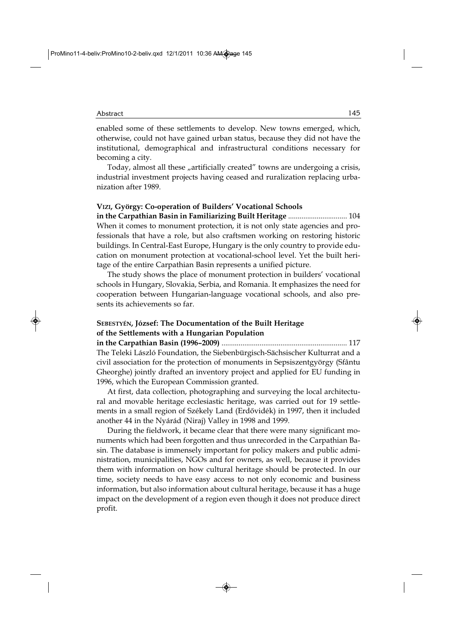enabled some of these settlements to develop. New towns emerged, which, otherwise, could not have gained urban status, because they did not have the institutional, demographical and infrastructural conditions necessary for becoming a city.

Today, almost all these "artificially created" towns are undergoing a crisis, industrial investment projects having ceased and ruralization replacing urbanization after 1989.

#### **VIZI, György: Co-operation of Builders' Vocational Schools**

**in the Carpathian Basin in Familiarizing Built Heritage** ............................... 104 When it comes to monument protection, it is not only state agencies and professionals that have a role, but also craftsmen working on restoring historic buildings. In Central-East Europe, Hungary is the only country to provide education on monument protection at vocational-school level. Yet the built heritage of the entire Carpathian Basin represents a unified picture.

The study shows the place of monument protection in builders' vocational schools in Hungary, Slovakia, Serbia, and Romania. It emphasizes the need for cooperation between Hungarian-language vocational schools, and also pre sents its achievements so far.

### **SEBESTYÉN, József: The Documentation of the Built Heritage of the Settlements with a Hungarian Population**

**in the Carpathian Basin (1996–2009)** .................................................................. 117 The Teleki László Foundation, the Siebenbürgisch-Sächsischer Kulturrat and a civil association for the protection of monuments in Sepsiszentgyörgy (Sfântu Gheorghe) jointly drafted an inventory project and applied for EU funding in 1996, which the European Commission granted.

At first, data collection, photographing and surveying the local architectural and movable heritage ecclesiastic heritage, was carried out for 19 settlements in a small region of Székely Land (Erdővidék) in 1997, then it included another 44 in the Nyárád (Niraj) Valley in 1998 and 1999.

During the fieldwork, it became clear that there were many significant monuments which had been forgotten and thus unrecorded in the Carpathian Basin. The database is immensely important for policy makers and public admi nistration, municipalities, NGOs and for owners, as well, because it provides them with information on how cultural heritage should be protected. In our time, society needs to have easy access to not only economic and business information, but also information about cultural heritage, because it has a huge impact on the development of a region even though it does not produce direct profit.